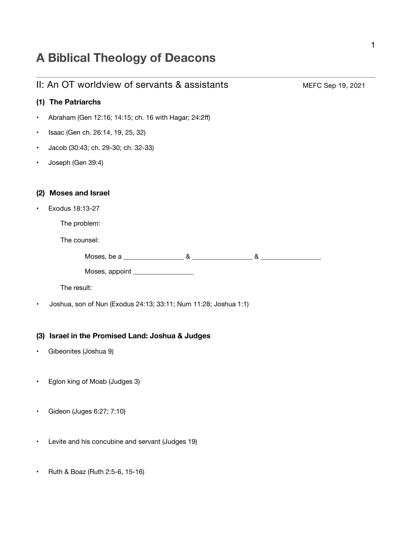# **A Biblical Theology of Deacons**

|           | II: An OT worldview of servants & assistants                    | MEFC Sep 19, 2021 |
|-----------|-----------------------------------------------------------------|-------------------|
|           | (1) The Patriarchs                                              |                   |
|           | Abraham (Gen 12:16; 14:15; ch. 16 with Hagar; 24:2ff)           |                   |
| $\bullet$ | Isaac (Gen ch. 26:14, 19, 25, 32)                               |                   |
| $\bullet$ | Jacob (30:43; ch. 29-30; ch. 32-33)                             |                   |
|           | Joseph (Gen 39:4)                                               |                   |
|           |                                                                 |                   |
| (2)       | <b>Moses and Israel</b>                                         |                   |
|           | Exodus 18:13-27                                                 |                   |
|           | The problem:                                                    |                   |
|           | The counsel:                                                    |                   |
|           | Moses, be a $\sim$ 8. $\sim$ 8. $\sim$ 8.                       |                   |
|           | Moses, appoint ___________________                              |                   |
|           | The result:                                                     |                   |
|           | Joshua, son of Nun (Exodus 24:13; 33:11; Num 11:28; Joshua 1:1) |                   |
|           |                                                                 |                   |
|           | (3) Israel in the Promised Land: Joshua & Judges                |                   |
|           | Gibeonites (Joshua 9)                                           |                   |
|           |                                                                 |                   |
|           | Eglon king of Moab (Judges 3)                                   |                   |
|           |                                                                 |                   |
|           | Gideon (Juges 6:27; 7:10)                                       |                   |
|           |                                                                 |                   |
|           | Levite and his concubine and servant (Judges 19)                |                   |

• Ruth & Boaz (Ruth 2:5-6, 15-16)